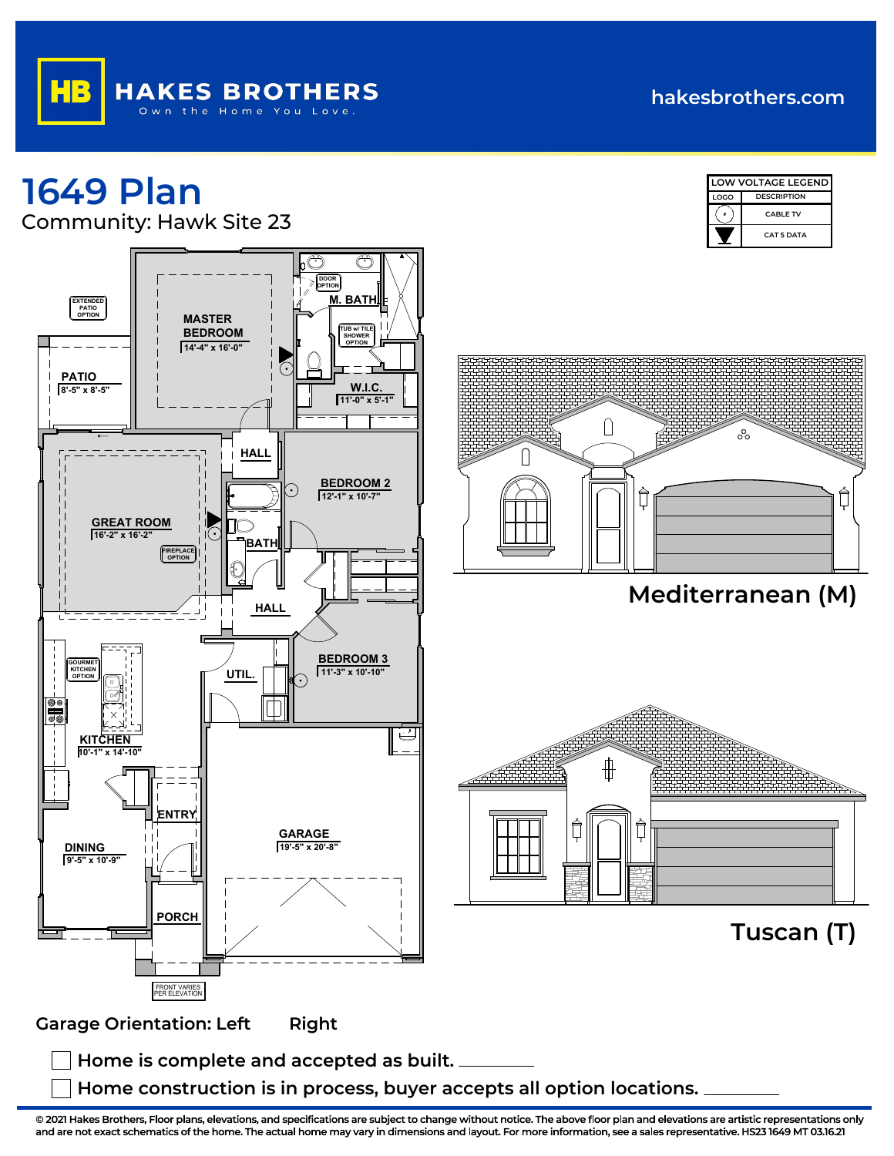## **hakesbrothers.com**

## **1649 Plan** Community: Hawk Site 23







**Mediterranean (M)**



**Tuscan (T)**

**Garage Orientation: Left Right** 

**Home is complete and accepted as built.**

**Home construction is in process, buyer accepts all option locations.**

**© 2021 Hakes Brothers, Floor plans, elevations, and specifications are subject to change without notice. The above floor plan and elevations are artistic representations only and are not exact schematics of the home. The actual home may vary in dimensions and layout. For more information, see a sales representative. HS23 1649 MT 03.16.21**